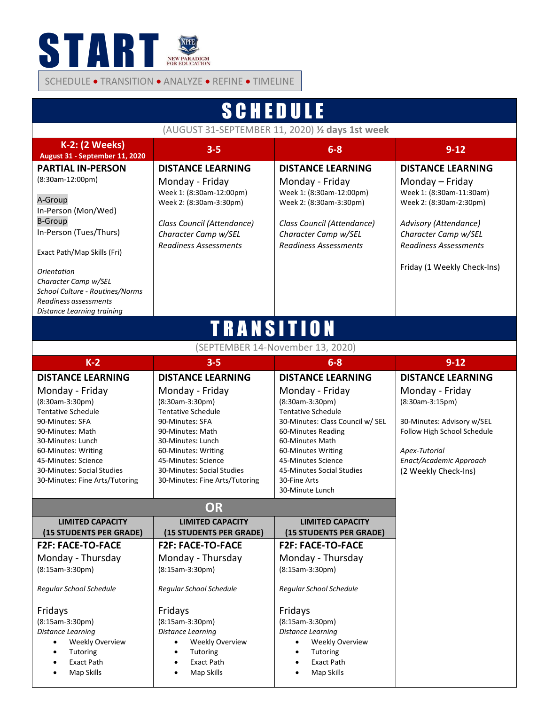

SCHEDULE • TRANSITION • ANALYZE • REFINE • TIMELINE

| <b>SCHEDULE</b>                                                                                                                                                                                                                                                                            |                                                                                                                                                                                                                                                                       |                                                                                                                                                                                                                                                                                      |                                                                                                                                                                                                                    |  |
|--------------------------------------------------------------------------------------------------------------------------------------------------------------------------------------------------------------------------------------------------------------------------------------------|-----------------------------------------------------------------------------------------------------------------------------------------------------------------------------------------------------------------------------------------------------------------------|--------------------------------------------------------------------------------------------------------------------------------------------------------------------------------------------------------------------------------------------------------------------------------------|--------------------------------------------------------------------------------------------------------------------------------------------------------------------------------------------------------------------|--|
| (AUGUST 31-SEPTEMBER 11, 2020) 1/2 days 1st week                                                                                                                                                                                                                                           |                                                                                                                                                                                                                                                                       |                                                                                                                                                                                                                                                                                      |                                                                                                                                                                                                                    |  |
| <b>K-2: (2 Weeks)</b><br>August 31 - September 11, 2020                                                                                                                                                                                                                                    | $3 - 5$                                                                                                                                                                                                                                                               | $6-8$                                                                                                                                                                                                                                                                                | $9 - 12$                                                                                                                                                                                                           |  |
| <b>PARTIAL IN-PERSON</b><br>(8:30am-12:00pm)<br>A-Group<br>In-Person (Mon/Wed)<br><b>B-Group</b><br>In-Person (Tues/Thurs)<br>Exact Path/Map Skills (Fri)<br>Orientation<br>Character Camp w/SEL<br>School Culture - Routines/Norms<br>Readiness assessments<br>Distance Learning training | <b>DISTANCE LEARNING</b><br>Monday - Friday<br>Week 1: (8:30am-12:00pm)<br>Week 2: (8:30am-3:30pm)<br>Class Council (Attendance)<br>Character Camp w/SEL<br><b>Readiness Assessments</b>                                                                              | <b>DISTANCE LEARNING</b><br>Monday - Friday<br>Week 1: (8:30am-12:00pm)<br>Week 2: (8:30am-3:30pm)<br>Class Council (Attendance)<br>Character Camp w/SEL<br><b>Readiness Assessments</b>                                                                                             | <b>DISTANCE LEARNING</b><br>Monday - Friday<br>Week 1: (8:30am-11:30am)<br>Week 2: (8:30am-2:30pm)<br>Advisory (Attendance)<br>Character Camp w/SEL<br><b>Readiness Assessments</b><br>Friday (1 Weekly Check-Ins) |  |
| <b>TRANSITION</b>                                                                                                                                                                                                                                                                          |                                                                                                                                                                                                                                                                       |                                                                                                                                                                                                                                                                                      |                                                                                                                                                                                                                    |  |
| (SEPTEMBER 14-November 13, 2020)                                                                                                                                                                                                                                                           |                                                                                                                                                                                                                                                                       |                                                                                                                                                                                                                                                                                      |                                                                                                                                                                                                                    |  |
| $K-2$                                                                                                                                                                                                                                                                                      | $3 - 5$                                                                                                                                                                                                                                                               | $6-8$                                                                                                                                                                                                                                                                                | $9 - 12$                                                                                                                                                                                                           |  |
| <b>DISTANCE LEARNING</b><br>Monday - Friday<br>(8:30am-3:30pm)<br><b>Tentative Schedule</b><br>90-Minutes: SFA<br>90-Minutes: Math<br>30-Minutes: Lunch<br>60-Minutes: Writing<br>45-Minutes: Science<br>30-Minutes: Social Studies<br>30-Minutes: Fine Arts/Tutoring                      | <b>DISTANCE LEARNING</b><br>Monday - Friday<br>(8:30am-3:30pm)<br><b>Tentative Schedule</b><br>90-Minutes: SFA<br>90-Minutes: Math<br>30-Minutes: Lunch<br>60-Minutes: Writing<br>45-Minutes: Science<br>30-Minutes: Social Studies<br>30-Minutes: Fine Arts/Tutoring | <b>DISTANCE LEARNING</b><br>Monday - Friday<br>(8:30am-3:30pm)<br><b>Tentative Schedule</b><br>30-Minutes: Class Council w/ SEL<br>60-Minutes Reading<br>60-Minutes Math<br>60-Minutes Writing<br>45-Minutes Science<br>45-Minutes Social Studies<br>30-Fine Arts<br>30-Minute Lunch | <b>DISTANCE LEARNING</b><br>Monday - Friday<br>(8:30am-3:15pm)<br>30-Minutes: Advisory w/SEL<br>Follow High School Schedule<br>Apex-Tutorial<br>Enact/Academic Approach<br>(2 Weekly Check-Ins)                    |  |
|                                                                                                                                                                                                                                                                                            |                                                                                                                                                                                                                                                                       |                                                                                                                                                                                                                                                                                      |                                                                                                                                                                                                                    |  |
| <b>LIMITED CAPACITY</b><br>(15 STUDENTS PER GRADE)                                                                                                                                                                                                                                         | <b>LIMITED CAPACITY</b><br>(15 STUDENTS PER GRADE)                                                                                                                                                                                                                    | <b>LIMITED CAPACITY</b><br>(15 STUDENTS PER GRADE)                                                                                                                                                                                                                                   |                                                                                                                                                                                                                    |  |
| <b>F2F: FACE-TO-FACE</b><br>Monday - Thursday<br>$(8:15am-3:30pm)$<br>Regular School Schedule<br>Fridays<br>$(8:15am-3:30pm)$                                                                                                                                                              | <b>F2F: FACE-TO-FACE</b><br>Monday - Thursday<br>$(8:15am-3:30pm)$<br>Regular School Schedule<br>Fridays<br>$(8:15am-3:30pm)$                                                                                                                                         | <b>F2F: FACE-TO-FACE</b><br>Monday - Thursday<br>$(8:15am-3:30pm)$<br>Regular School Schedule<br>Fridays<br>$(8:15am-3:30pm)$                                                                                                                                                        |                                                                                                                                                                                                                    |  |
| Distance Learning<br><b>Weekly Overview</b><br>$\bullet$<br>Tutoring<br>$\bullet$<br><b>Exact Path</b><br>$\bullet$                                                                                                                                                                        | <b>Distance Learning</b><br><b>Weekly Overview</b><br>$\bullet$<br>Tutoring<br>Exact Path                                                                                                                                                                             | Distance Learning<br><b>Weekly Overview</b><br>$\bullet$<br>Tutoring<br>Exact Path                                                                                                                                                                                                   |                                                                                                                                                                                                                    |  |

• Map Skills

- 
- Map Skills

• Map Skills